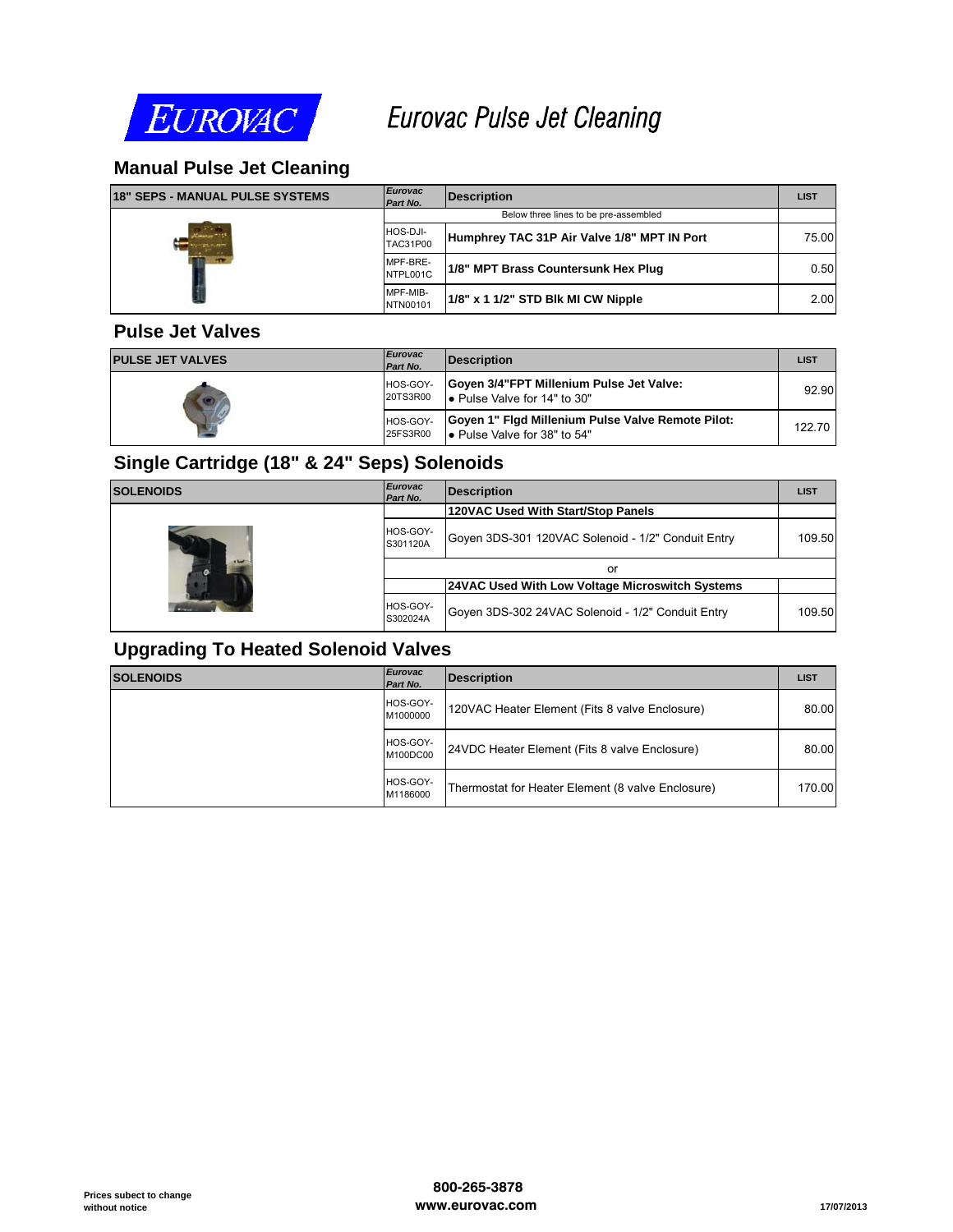

# *Eurovac Pulse Jet Cleaning*

## **Manual Pulse Jet Cleaning**

| <b>18" SEPS - MANUAL PULSE SYSTEMS</b> | <b>Eurovac</b><br>Part No.  | <b>Description</b>                          | <b>LIST</b> |  |
|----------------------------------------|-----------------------------|---------------------------------------------|-------------|--|
|                                        |                             | Below three lines to be pre-assembled       |             |  |
|                                        | HOS-DJI-<br><b>TAC31P00</b> | Humphrey TAC 31P Air Valve 1/8" MPT IN Port | 75.00       |  |
|                                        | MPF-BRE-<br>NTPL001C        | 1/8" MPT Brass Countersunk Hex Plug         | 0.50        |  |
|                                        | MPF-MIB-<br>NTN00101        | 1/8" x 1 1/2" STD Blk MI CW Nipple          | 2.00        |  |

#### **Pulse Jet Valves**

| <b>PULSE JET VALVES</b> | <b>Eurovac</b><br>Part No. | <b>Description</b>                                                                | <b>LIST</b> |
|-------------------------|----------------------------|-----------------------------------------------------------------------------------|-------------|
|                         | HOS-GOY-<br>20TS3R00       | Goven 3/4"FPT Millenium Pulse Jet Valve:<br>l. Pulse Valve for 14" to 30"         | 92.90       |
|                         | HOS-GOY-<br>25FS3R00       | Goyen 1" Figd Millenium Pulse Valve Remote Pilot:<br>■ Pulse Valve for 38" to 54" | 122.70      |

### **Single Cartridge (18" & 24" Seps) Solenoids**

| <b>SOLENOIDS</b> | <b>Eurovac</b><br>Part No. | <b>Description</b>                                 | <b>LIST</b> |
|------------------|----------------------------|----------------------------------------------------|-------------|
| <b>A Bank</b>    |                            | 120VAC Used With Start/Stop Panels                 |             |
|                  | HOS-GOY-<br>S301120A       | Goyen 3DS-301 120VAC Solenoid - 1/2" Conduit Entry | 109.50      |
|                  |                            | or                                                 |             |
|                  |                            | 24VAC Used With Low Voltage Microswitch Systems    |             |
|                  | HOS-GOY-<br>S302024A       | Goven 3DS-302 24VAC Solenoid - 1/2" Conduit Entry  | 109.50      |

#### **Upgrading To Heated Solenoid Valves**

| <b>SOLENOIDS</b> | <b>Eurovac</b><br>Part No. | <b>Description</b>                                | <b>LIST</b> |
|------------------|----------------------------|---------------------------------------------------|-------------|
|                  | HOS-GOY-<br>M1000000       | 120VAC Heater Element (Fits 8 valve Enclosure)    | 80.00       |
|                  | HOS-GOY-<br>M100DC00       | 24VDC Heater Element (Fits 8 valve Enclosure)     | 80.00       |
|                  | HOS-GOY-<br>M1186000       | Thermostat for Heater Element (8 valve Enclosure) | 170.00      |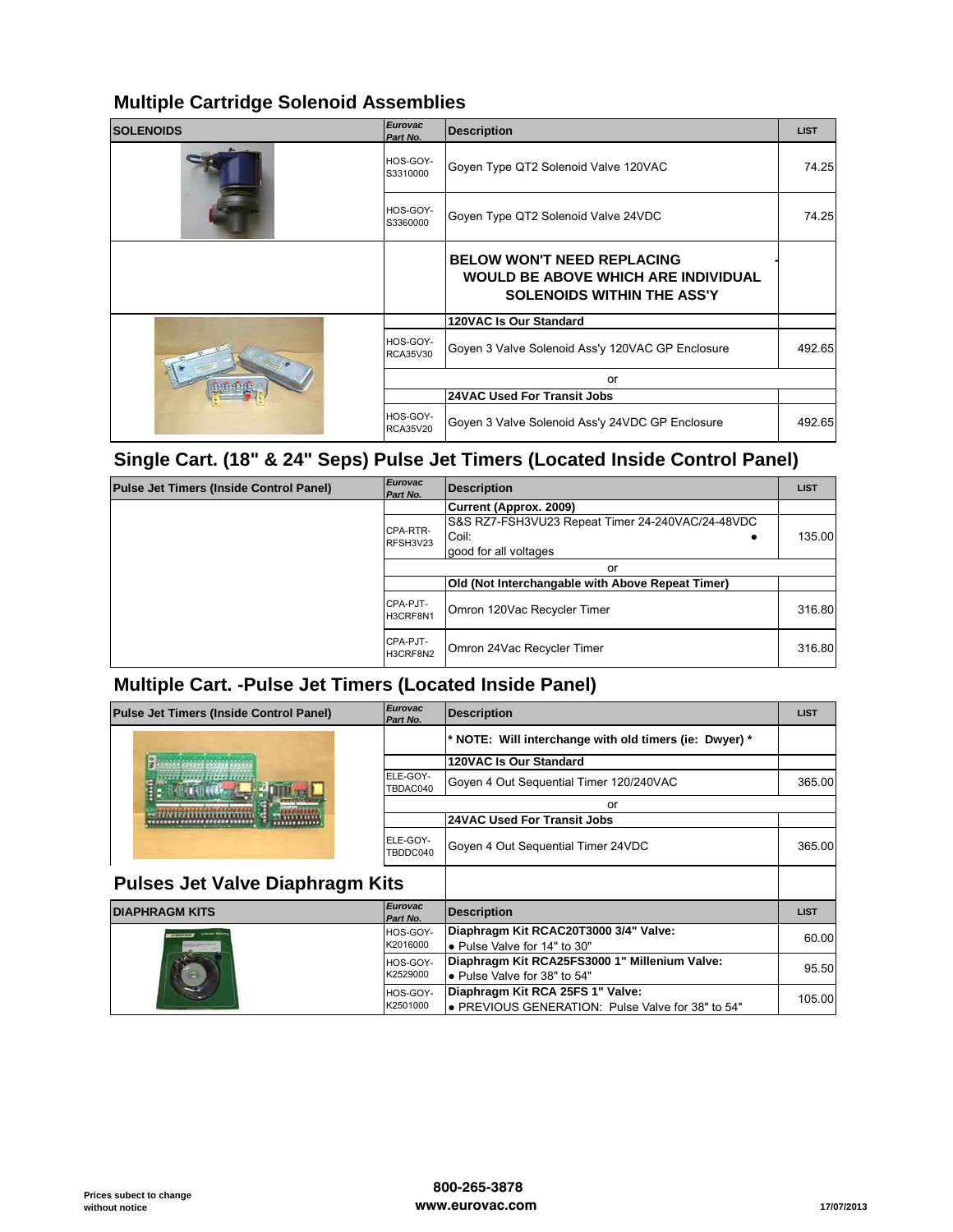## **Multiple Cartridge Solenoid Assemblies**

| <b>SOLENOIDS</b> | <b>Eurovac</b><br>Part No.  | <b>Description</b>                                                                                                   | <b>LIST</b> |
|------------------|-----------------------------|----------------------------------------------------------------------------------------------------------------------|-------------|
|                  | HOS-GOY-<br>S3310000        | Goyen Type QT2 Solenoid Valve 120VAC                                                                                 | 74.25       |
|                  | HOS-GOY-<br>S3360000        | Goyen Type QT2 Solenoid Valve 24VDC                                                                                  | 74.25       |
|                  |                             | <b>BELOW WON'T NEED REPLACING</b><br><b>WOULD BE ABOVE WHICH ARE INDIVIDUAL</b><br><b>SOLENOIDS WITHIN THE ASS'Y</b> |             |
|                  |                             | 120VAC Is Our Standard                                                                                               |             |
|                  | HOS-GOY-<br><b>RCA35V30</b> | Goyen 3 Valve Solenoid Ass'y 120VAC GP Enclosure                                                                     | 492.65      |
|                  |                             | or                                                                                                                   |             |
|                  |                             | <b>24VAC Used For Transit Jobs</b>                                                                                   |             |
|                  | HOS-GOY-<br><b>RCA35V20</b> | Goyen 3 Valve Solenoid Ass'y 24VDC GP Enclosure                                                                      | 492.65      |

## **Single Cart. (18" & 24" Seps) Pulse Jet Timers (Located Inside Control Panel)**

| <b>Pulse Jet Timers (Inside Control Panel)</b> | <b>Eurovac</b><br>Part No. | <b>Description</b>                                                                 | <b>LIST</b> |
|------------------------------------------------|----------------------------|------------------------------------------------------------------------------------|-------------|
|                                                |                            | Current (Approx. 2009)                                                             |             |
|                                                | CPA-RTR-<br>RFSH3V23       | S&S RZ7-FSH3VU23 Repeat Timer 24-240VAC/24-48VDC<br>Coil:<br>good for all voltages | 135.00      |
|                                                |                            | or                                                                                 |             |
|                                                |                            | Old (Not Interchangable with Above Repeat Timer)                                   |             |
|                                                | CPA-PJT-<br>H3CRF8N1       | Omron 120Vac Recycler Timer                                                        | 316.80      |
|                                                | CPA-PJT-<br>H3CRF8N2       | Omron 24Vac Recycler Timer                                                         | 316.80      |

## **Multiple Cart. -Pulse Jet Timers (Located Inside Panel)**

| Pulse Jet Timers (Inside Control Panel) | <b>Eurovac</b><br>Part No. | <b>Description</b>                                                                    | <b>LIST</b> |
|-----------------------------------------|----------------------------|---------------------------------------------------------------------------------------|-------------|
|                                         |                            | * NOTE: Will interchange with old timers (ie: Dwyer) *                                |             |
|                                         |                            | 120VAC Is Our Standard                                                                |             |
|                                         | ELE-GOY-<br>TBDAC040       | Goyen 4 Out Sequential Timer 120/240VAC                                               | 365.00      |
|                                         |                            | or                                                                                    |             |
|                                         |                            | <b>24VAC Used For Transit Jobs</b>                                                    |             |
|                                         | ELE-GOY-<br>TBDDC040       | Goyen 4 Out Sequential Timer 24VDC                                                    | 365.00      |
| <b>Pulses Jet Valve Diaphragm Kits</b>  |                            |                                                                                       |             |
| <b>DIAPHRAGM KITS</b>                   | <b>Eurovac</b><br>Part No. | <b>Description</b>                                                                    | <b>LIST</b> |
| <b>SPAIN FAR</b><br><b>ITOCHEN</b>      | HOS-GOY-<br>K2016000       | Diaphragm Kit RCAC20T3000 3/4" Valve:<br>• Pulse Valve for 14" to 30"                 | 60.00       |
|                                         |                            | Diaphragm Kit RCA25FS3000 1" Millenium Valve:                                         |             |
|                                         | HOS-GOY-<br>K2529000       | • Pulse Valve for 38" to 54"                                                          | 95.50       |
|                                         | HOS-GOY-<br>K2501000       | Diaphragm Kit RCA 25FS 1" Valve:<br>• PREVIOUS GENERATION: Pulse Valve for 38" to 54" | 105.00      |